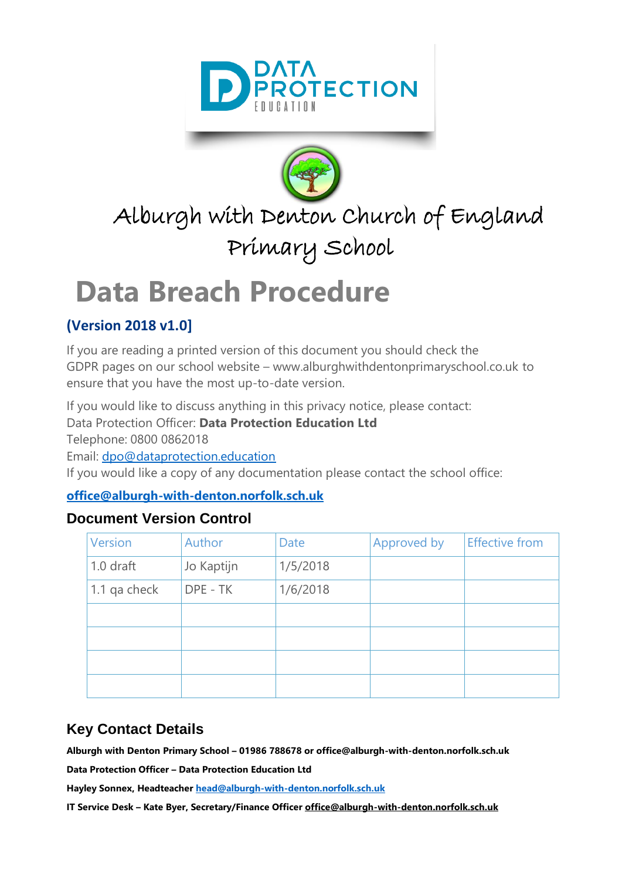



# Alburgh with Denton Church of England Primary School

# <span id="page-0-0"></span>**Data Breach Procedure**

## **(Version 2018 v1.0]**

If you are reading a printed version of this document you should check the GDPR pages on our school website – www.alburghwithdentonprimaryschool.co.uk to ensure that you have the most up-to-date version.

If you would like to discuss anything in this privacy notice, please contact:

Data Protection Officer: **Data Protection Education Ltd**

Telephone: 0800 0862018

Email: [dpo@dataprotection.education](mailto:dpo@dataprotection.education)

If you would like a copy of any documentation please contact the school office:

#### **[office@alburgh-with-denton.norfolk.sch.uk](mailto:office@alburgh-with-denton.norfolk.sch.uk)**

## **Document Version Control**

| <b>Version</b> | Author     | Date     | Approved by | <b>Effective from</b> |
|----------------|------------|----------|-------------|-----------------------|
| 1.0 draft      | Jo Kaptijn | 1/5/2018 |             |                       |
| 1.1 qa check   | DPE - TK   | 1/6/2018 |             |                       |
|                |            |          |             |                       |
|                |            |          |             |                       |
|                |            |          |             |                       |
|                |            |          |             |                       |

## **Key Contact Details**

**Alburgh with Denton Primary School – 01986 788678 or office@alburgh-with-denton.norfolk.sch.uk**

**Data Protection Officer – Data Protection Education Ltd**

**Hayley Sonnex, Headteache[r head@alburgh-with-denton.norfolk.sch.uk](mailto:head@alburgh-with-denton.norfolk.sch.uk)**

**IT Service Desk – Kate Byer, Secretary/Finance Officer office@alburgh-with-denton.norfolk.sch.uk**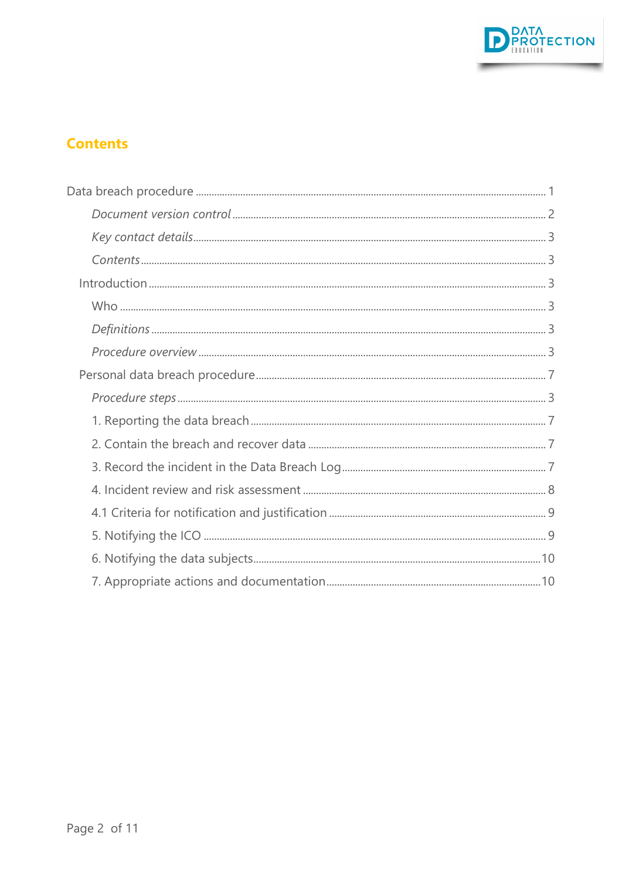

## **Contents**

<span id="page-1-0"></span>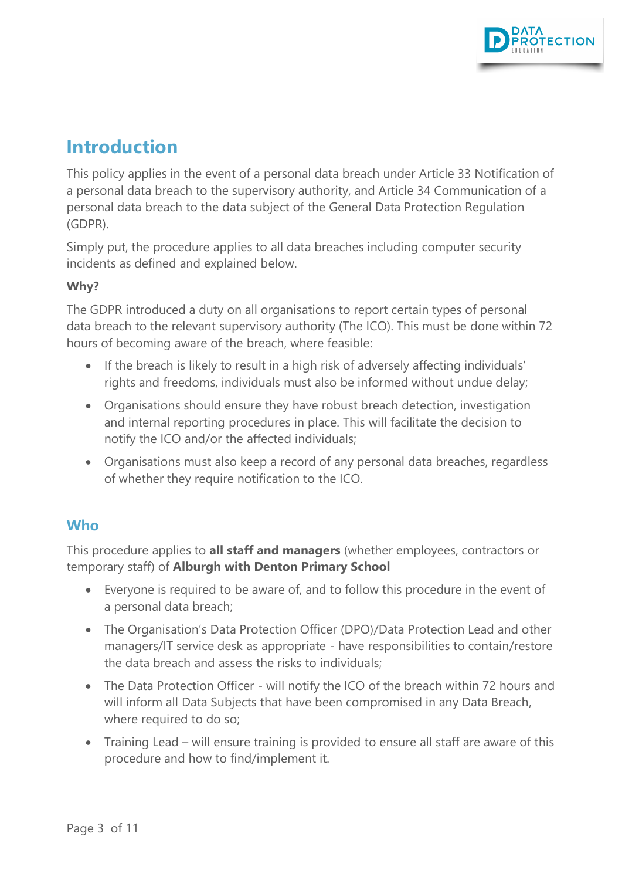

## **Introduction**

This policy applies in the event of a personal data breach under Article 33 Notification of a personal data breach to the supervisory authority, and Article 34 Communication of a personal data breach to the data subject of the General Data Protection Regulation (GDPR).

Simply put, the procedure applies to all data breaches including computer security incidents as defined and explained below.

#### **Why?**

The GDPR introduced a duty on all organisations to report certain types of personal data breach to the relevant supervisory authority (The ICO). This must be done within 72 hours of becoming aware of the breach, where feasible:

- If the breach is likely to result in a high risk of adversely affecting individuals' rights and freedoms, individuals must also be informed without undue delay;
- Organisations should ensure they have robust breach detection, investigation and internal reporting procedures in place. This will facilitate the decision to notify the ICO and/or the affected individuals;
- Organisations must also keep a record of any personal data breaches, regardless of whether they require notification to the ICO.

## <span id="page-2-0"></span>**Who**

This procedure applies to **all staff and managers** (whether employees, contractors or temporary staff) of **Alburgh with Denton Primary School**

- Everyone is required to be aware of, and to follow this procedure in the event of a personal data breach;
- The Organisation's Data Protection Officer (DPO)/Data Protection Lead and other managers/IT service desk as appropriate - have responsibilities to contain/restore the data breach and assess the risks to individuals;
- The Data Protection Officer will notify the ICO of the breach within 72 hours and will inform all Data Subjects that have been compromised in any Data Breach, where required to do so;
- Training Lead will ensure training is provided to ensure all staff are aware of this procedure and how to find/implement it.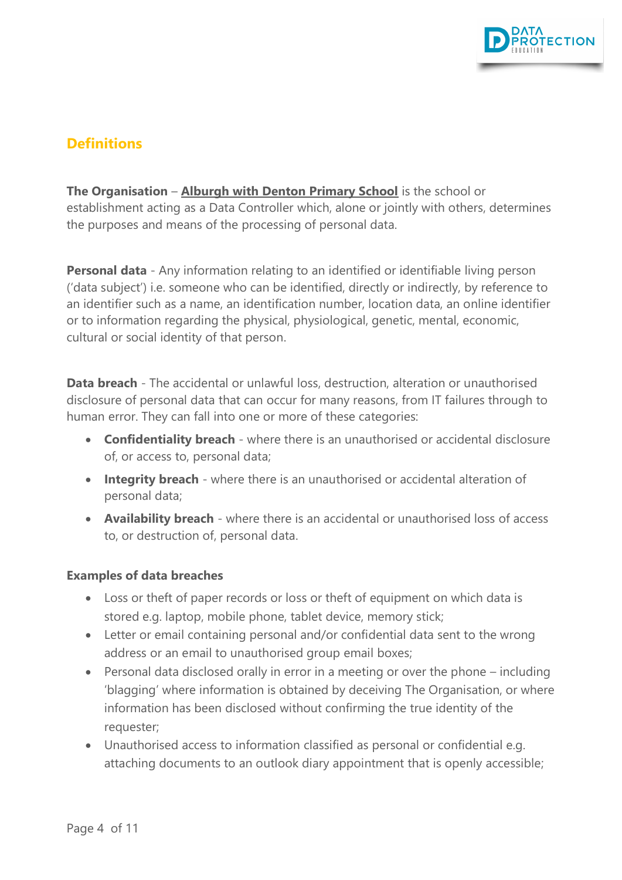

## **Definitions**

**The Organisation** – **Alburgh with Denton Primary School** is the school or establishment acting as a Data Controller which, alone or jointly with others, determines the purposes and means of the processing of personal data.

**Personal data** - Any information relating to an identified or identifiable living person ('data subject') i.e. someone who can be identified, directly or indirectly, by reference to an identifier such as a name, an identification number, location data, an online identifier or to information regarding the physical, physiological, genetic, mental, economic, cultural or social identity of that person.

**Data breach** - The accidental or unlawful loss, destruction, alteration or unauthorised disclosure of personal data that can occur for many reasons, from IT failures through to human error. They can fall into one or more of these categories:

- **Confidentiality breach** where there is an unauthorised or accidental disclosure of, or access to, personal data;
- **Integrity breach** where there is an unauthorised or accidental alteration of personal data;
- **Availability breach** where there is an accidental or unauthorised loss of access to, or destruction of, personal data.

#### **Examples of data breaches**

- Loss or theft of paper records or loss or theft of equipment on which data is stored e.g. laptop, mobile phone, tablet device, memory stick;
- Letter or email containing personal and/or confidential data sent to the wrong address or an email to unauthorised group email boxes;
- Personal data disclosed orally in error in a meeting or over the phone including 'blagging' where information is obtained by deceiving The Organisation, or where information has been disclosed without confirming the true identity of the requester;
- Unauthorised access to information classified as personal or confidential e.g. attaching documents to an outlook diary appointment that is openly accessible;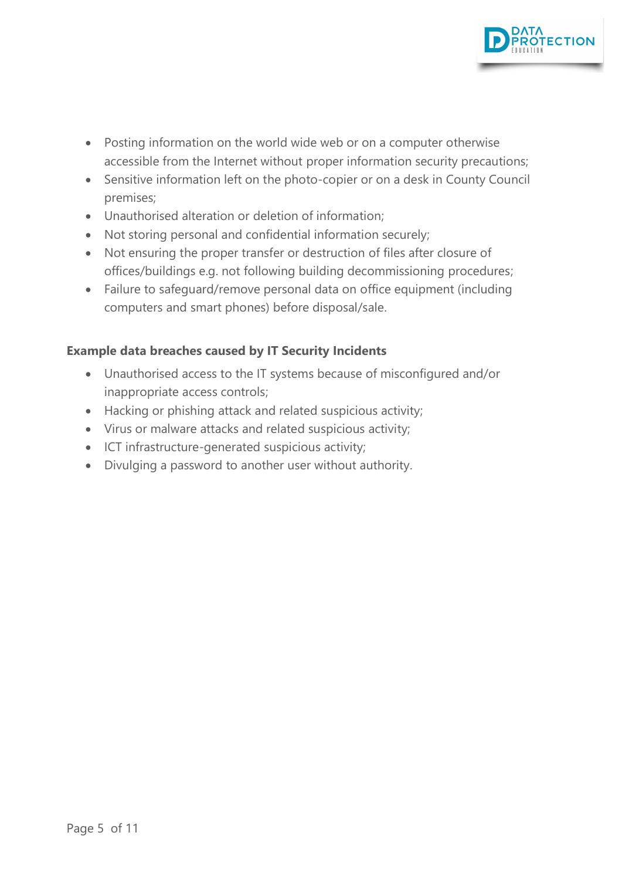

- Posting information on the world wide web or on a computer otherwise accessible from the Internet without proper information security precautions;
- Sensitive information left on the photo-copier or on a desk in County Council premises;
- Unauthorised alteration or deletion of information;
- Not storing personal and confidential information securely;
- Not ensuring the proper transfer or destruction of files after closure of offices/buildings e.g. not following building decommissioning procedures;
- Failure to safeguard/remove personal data on office equipment (including computers and smart phones) before disposal/sale.

#### **Example data breaches caused by IT Security Incidents**

- Unauthorised access to the IT systems because of misconfigured and/or inappropriate access controls;
- Hacking or phishing attack and related suspicious activity;
- Virus or malware attacks and related suspicious activity;
- ICT infrastructure-generated suspicious activity;
- Divulging a password to another user without authority.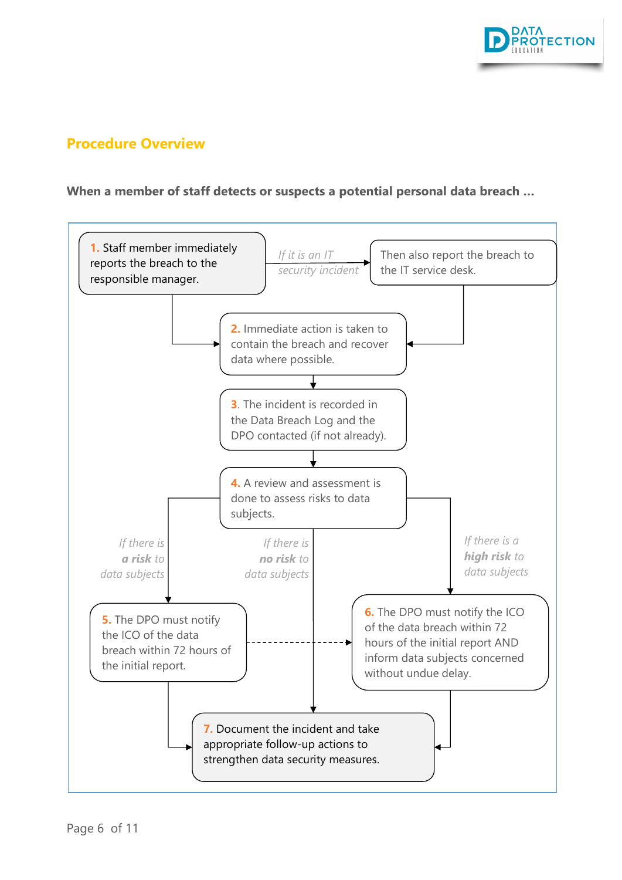

### **Procedure Overview**

#### **When a member of staff detects or suspects a potential personal data breach …**

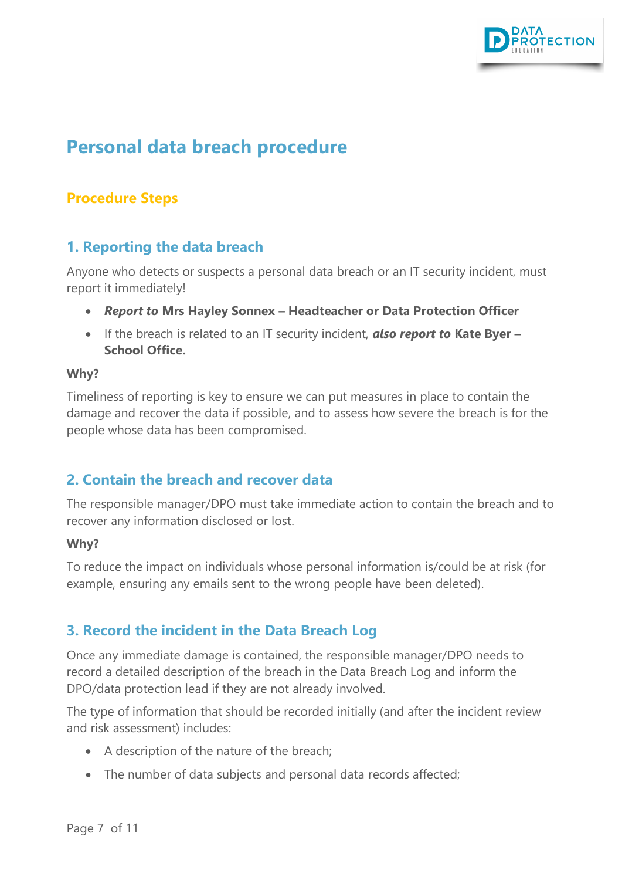

## <span id="page-6-0"></span>**Personal data breach procedure**

## **Procedure Steps**

## <span id="page-6-1"></span>**1. Reporting the data breach**

Anyone who detects or suspects a personal data breach or an IT security incident, must report it immediately!

- *Report to* **Mrs Hayley Sonnex – Headteacher or Data Protection Officer**
- If the breach is related to an IT security incident, *also report to* **Kate Byer – School Office.**

#### **Why?**

Timeliness of reporting is key to ensure we can put measures in place to contain the damage and recover the data if possible, and to assess how severe the breach is for the people whose data has been compromised.

## <span id="page-6-2"></span>**2. Contain the breach and recover data**

The responsible manager/DPO must take immediate action to contain the breach and to recover any information disclosed or lost.

#### **Why?**

To reduce the impact on individuals whose personal information is/could be at risk (for example, ensuring any emails sent to the wrong people have been deleted).

## <span id="page-6-3"></span>**3. Record the incident in the Data Breach Log**

Once any immediate damage is contained, the responsible manager/DPO needs to record a detailed description of the breach in the Data Breach Log and inform the DPO/data protection lead if they are not already involved.

The type of information that should be recorded initially (and after the incident review and risk assessment) includes:

- A description of the nature of the breach;
- The number of data subjects and personal data records affected;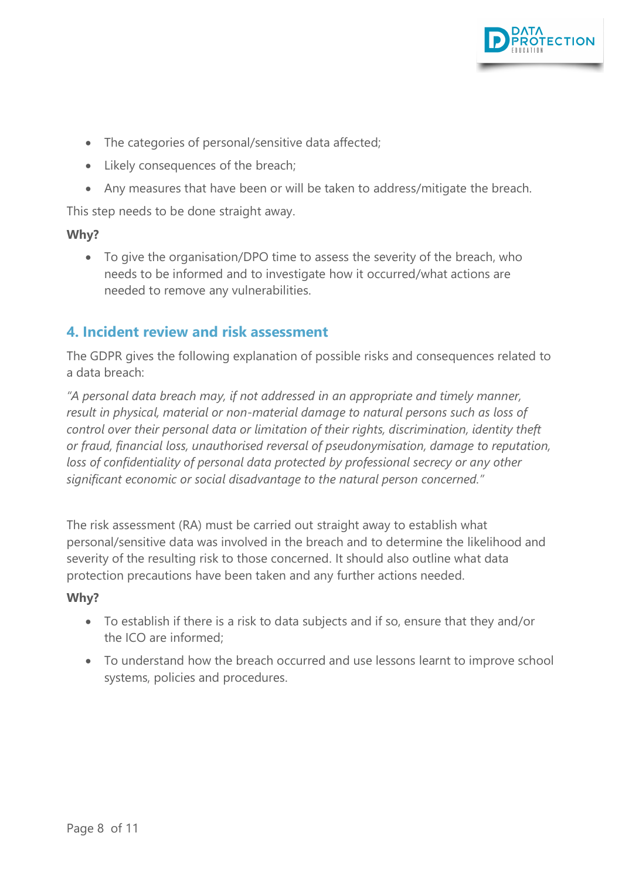

- The categories of personal/sensitive data affected;
- Likely consequences of the breach;
- Any measures that have been or will be taken to address/mitigate the breach.

This step needs to be done straight away.

#### **Why?**

• To give the organisation/DPO time to assess the severity of the breach, who needs to be informed and to investigate how it occurred/what actions are needed to remove any vulnerabilities.

## <span id="page-7-0"></span>**4. Incident review and risk assessment**

The GDPR gives the following explanation of possible risks and consequences related to a data breach:

*"A personal data breach may, if not addressed in an appropriate and timely manner, result in physical, material or non-material damage to natural persons such as loss of control over their personal data or limitation of their rights, discrimination, identity theft or fraud, financial loss, unauthorised reversal of pseudonymisation, damage to reputation,*  loss of confidentiality of personal data protected by professional secrecy or any other *significant economic or social disadvantage to the natural person concerned."*

The risk assessment (RA) must be carried out straight away to establish what personal/sensitive data was involved in the breach and to determine the likelihood and severity of the resulting risk to those concerned. It should also outline what data protection precautions have been taken and any further actions needed.

#### **Why?**

- To establish if there is a risk to data subjects and if so, ensure that they and/or the ICO are informed;
- To understand how the breach occurred and use lessons learnt to improve school systems, policies and procedures.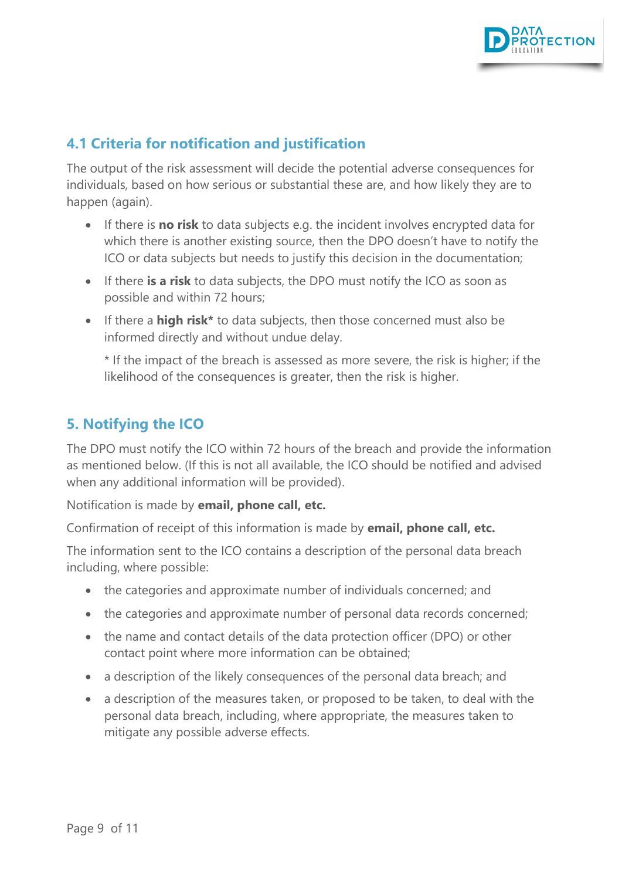

## <span id="page-8-0"></span>**4.1 Criteria for notification and justification**

The output of the risk assessment will decide the potential adverse consequences for individuals, based on how serious or substantial these are, and how likely they are to happen (again).

- If there is **no risk** to data subjects e.g. the incident involves encrypted data for which there is another existing source, then the DPO doesn't have to notify the ICO or data subjects but needs to justify this decision in the documentation;
- If there **is a risk** to data subjects, the DPO must notify the ICO as soon as possible and within 72 hours;
- If there a **high risk\*** to data subjects, then those concerned must also be informed directly and without undue delay.

\* If the impact of the breach is assessed as more severe, the risk is higher; if the likelihood of the consequences is greater, then the risk is higher.

## <span id="page-8-1"></span>**5. Notifying the ICO**

The DPO must notify the ICO within 72 hours of the breach and provide the information as mentioned below. (If this is not all available, the ICO should be notified and advised when any additional information will be provided).

Notification is made by **email, phone call, etc.**

Confirmation of receipt of this information is made by **email, phone call, etc.**

The information sent to the ICO contains a description of the personal data breach including, where possible:

- the categories and approximate number of individuals concerned; and
- the categories and approximate number of personal data records concerned;
- the name and contact details of the data protection officer (DPO) or other contact point where more information can be obtained;
- a description of the likely consequences of the personal data breach; and
- a description of the measures taken, or proposed to be taken, to deal with the personal data breach, including, where appropriate, the measures taken to mitigate any possible adverse effects.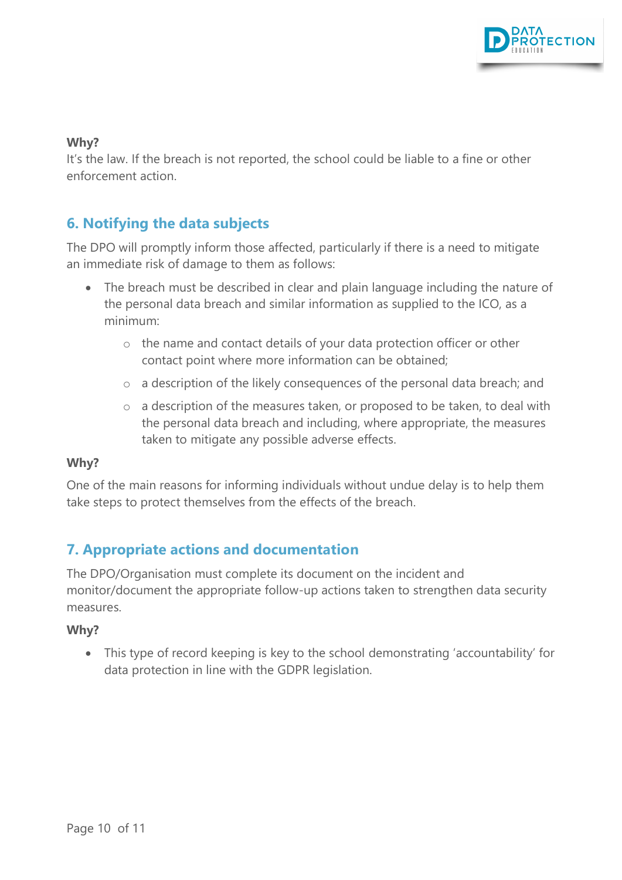

#### **Why?**

It's the law. If the breach is not reported, the school could be liable to a fine or other enforcement action.

## <span id="page-9-0"></span>**6. Notifying the data subjects**

The DPO will promptly inform those affected, particularly if there is a need to mitigate an immediate risk of damage to them as follows:

- The breach must be described in clear and plain language including the nature of the personal data breach and similar information as supplied to the ICO, as a minimum:
	- o the name and contact details of your data protection officer or other contact point where more information can be obtained;
	- o a description of the likely consequences of the personal data breach; and
	- o a description of the measures taken, or proposed to be taken, to deal with the personal data breach and including, where appropriate, the measures taken to mitigate any possible adverse effects.

#### **Why?**

One of the main reasons for informing individuals without undue delay is to help them take steps to protect themselves from the effects of the breach.

## <span id="page-9-1"></span>**7. Appropriate actions and documentation**

The DPO/Organisation must complete its document on the incident and monitor/document the appropriate follow-up actions taken to strengthen data security measures.

#### **Why?**

• This type of record keeping is key to the school demonstrating 'accountability' for data protection in line with the GDPR legislation.